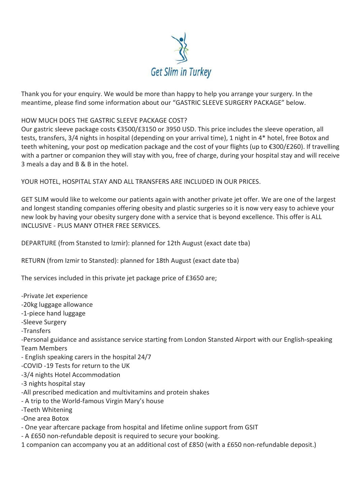

Thank you for your enquiry. We would be more than happy to help you arrange your surgery. In the meantime, please find some information about our "GASTRIC SLEEVE SURGERY PACKAGE" below.

#### HOW MUCH DOES THE GASTRIC SLEEVE PACKAGE COST?

Our gastric sleeve package costs €3500/£3150 or 3950 USD. This price includes the sleeve operation, all tests, transfers, 3/4 nights in hospital (depending on your arrival time), 1 night in 4\* hotel, free Botox and teeth whitening, your post op medication package and the cost of your flights (up to €300/£260). If travelling with a partner or companion they will stay with you, free of charge, during your hospital stay and will receive 3 meals a day and B & B in the hotel.

YOUR HOTEL, HOSPITAL STAY AND ALL TRANSFERS ARE INCLUDED IN OUR PRICES.

GET SLIM would like to welcome our patients again with another private jet offer. We are one of the largest and longest standing companies offering obesity and plastic surgeries so it is now very easy to achieve your new look by having your obesity surgery done with a service that is beyond excellence. This offer is ALL INCLUSIVE - PLUS MANY OTHER FREE SERVICES.

DEPARTURE (from Stansted to Izmir): planned for 12th August (exact date tba)

RETURN (from Izmir to Stansted): planned for 18th August (exact date tba)

The services included in this private jet package price of £3650 are;

- -Private Jet experience
- -20kg luggage allowance
- -1-piece hand luggage
- -Sleeve Surgery
- -Transfers

-Personal guidance and assistance service starting from London Stansted Airport with our English-speaking Team Members

- English speaking carers in the hospital 24/7
- -COVID -19 Tests for return to the UK
- -3/4 nights Hotel Accommodation
- -3 nights hospital stay
- -All prescribed medication and multivitamins and protein shakes
- A trip to the World-famous Virgin Mary's house
- -Teeth Whitening
- -One area Botox
- One year aftercare package from hospital and lifetime online support from GSIT
- A £650 non-refundable deposit is required to secure your booking.
- 1 companion can accompany you at an additional cost of £850 (with a £650 non-refundable deposit.)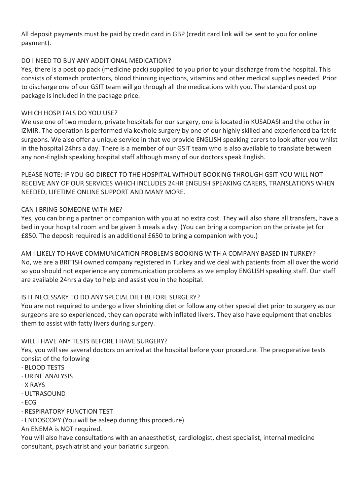All deposit payments must be paid by credit card in GBP (credit card link will be sent to you for online payment).

## DO I NEED TO BUY ANY ADDITIONAL MEDICATION?

Yes, there is a post op pack (medicine pack) supplied to you prior to your discharge from the hospital. This consists of stomach protectors, blood thinning injections, vitamins and other medical supplies needed. Prior to discharge one of our GSIT team will go through all the medications with you. The standard post op package is included in the package price.

## WHICH HOSPITALS DO YOU USE?

We use one of two modern, private hospitals for our surgery, one is located in KUSADASI and the other in IZMIR. The operation is performed via keyhole surgery by one of our highly skilled and experienced bariatric surgeons. We also offer a unique service in that we provide ENGLISH speaking carers to look after you whilst in the hospital 24hrs a day. There is a member of our GSIT team who is also available to translate between any non-English speaking hospital staff although many of our doctors speak English.

PLEASE NOTE: IF YOU GO DIRECT TO THE HOSPITAL WITHOUT BOOKING THROUGH GSIT YOU WILL NOT RECEIVE ANY OF OUR SERVICES WHICH INCLUDES 24HR ENGLISH SPEAKING CARERS, TRANSLATIONS WHEN NEEDED, LIFETIME ONLINE SUPPORT AND MANY MORE.

## CAN I BRING SOMEONE WITH ME?

Yes, you can bring a partner or companion with you at no extra cost. They will also share all transfers, have a bed in your hospital room and be given 3 meals a day. (You can bring a companion on the private jet for £850. The deposit required is an additional £650 to bring a companion with you.)

AM I LIKELY TO HAVE COMMUNICATION PROBLEMS BOOKING WITH A COMPANY BASED IN TURKEY? No, we are a BRITISH owned company registered in Turkey and we deal with patients from all over the world so you should not experience any communication problems as we employ ENGLISH speaking staff. Our staff are available 24hrs a day to help and assist you in the hospital.

# IS IT NECESSARY TO DO ANY SPECIAL DIET BEFORE SURGERY?

You are not required to undergo a liver shrinking diet or follow any other special diet prior to surgery as our surgeons are so experienced, they can operate with inflated livers. They also have equipment that enables them to assist with fatty livers during surgery.

#### WILL I HAVE ANY TESTS BEFORE I HAVE SURGERY?

Yes, you will see several doctors on arrival at the hospital before your procedure. The preoperative tests consist of the following

- · BLOOD TESTS
- · URINE ANALYSIS
- · X RAYS
- · ULTRASOUND
- · ECG
- · RESPIRATORY FUNCTION TEST
- · ENDOSCOPY (You will be asleep during this procedure)

An ENEMA is NOT required.

You will also have consultations with an anaesthetist, cardiologist, chest specialist, internal medicine consultant, psychiatrist and your bariatric surgeon.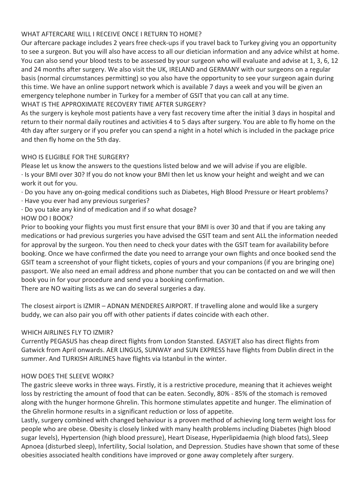## WHAT AFTERCARE WILL I RECEIVE ONCE I RETURN TO HOME?

Our aftercare package includes 2 years free check-ups if you travel back to Turkey giving you an opportunity to see a surgeon. But you will also have access to all our dietician information and any advice whilst at home. You can also send your blood tests to be assessed by your surgeon who will evaluate and advise at 1, 3, 6, 12 and 24 months after surgery. We also visit the UK, IRELAND and GERMANY with our surgeons on a regular basis (normal circumstances permitting) so you also have the opportunity to see your surgeon again during this time. We have an online support network which is available 7 days a week and you will be given an emergency telephone number in Turkey for a member of GSIT that you can call at any time.

WHAT IS THE APPROXIMATE RECOVERY TIME AFTER SURGERY? As the surgery is keyhole most patients have a very fast recovery time after the initial 3 days in hospital and return to their normal daily routines and activities 4 to 5 days after surgery. You are able to fly home on the

## WHO IS ELIGIBLE FOR THE SURGERY?

and then fly home on the 5th day.

Please let us know the answers to the questions listed below and we will advise if you are eligible.

· Is your BMI over 30? If you do not know your BMI then let us know your height and weight and we can work it out for you.

4th day after surgery or if you prefer you can spend a night in a hotel which is included in the package price

· Do you have any on-going medical conditions such as Diabetes, High Blood Pressure or Heart problems?

- · Have you ever had any previous surgeries?
- · Do you take any kind of medication and if so what dosage?

## HOW DO I BOOK?

Prior to booking your flights you must first ensure that your BMI is over 30 and that if you are taking any medications or had previous surgeries you have advised the GSIT team and sent ALL the information needed for approval by the surgeon. You then need to check your dates with the GSIT team for availability before booking. Once we have confirmed the date you need to arrange your own flights and once booked send the GSIT team a screenshot of your flight tickets, copies of yours and your companions (if you are bringing one) passport. We also need an email address and phone number that you can be contacted on and we will then book you in for your procedure and send you a booking confirmation.

There are NO waiting lists as we can do several surgeries a day.

The closest airport is IZMIR – ADNAN MENDERES AIRPORT. If travelling alone and would like a surgery buddy, we can also pair you off with other patients if dates coincide with each other.

#### WHICH AIRLINES FLY TO IZMIR?

Currently PEGASUS has cheap direct flights from London Stansted. EASYJET also has direct flights from Gatwick from April onwards. AER LINGUS, SUNWAY and SUN EXPRESS have flights from Dublin direct in the summer. And TURKISH AIRLINES have flights via Istanbul in the winter.

#### HOW DOES THE SLEEVE WORK?

The gastric sleeve works in three ways. Firstly, it is a restrictive procedure, meaning that it achieves weight loss by restricting the amount of food that can be eaten. Secondly, 80% - 85% of the stomach is removed along with the hunger hormone Ghrelin. This hormone stimulates appetite and hunger. The elimination of the Ghrelin hormone results in a significant reduction or loss of appetite.

Lastly, surgery combined with changed behaviour is a proven method of achieving long term weight loss for people who are obese. Obesity is closely linked with many health problems including Diabetes (high blood sugar levels), Hypertension (high blood pressure), Heart Disease, Hyperlipidaemia (high blood fats), Sleep Apnoea (disturbed sleep), Infertility, Social Isolation, and Depression. Studies have shown that some of these obesities associated health conditions have improved or gone away completely after surgery.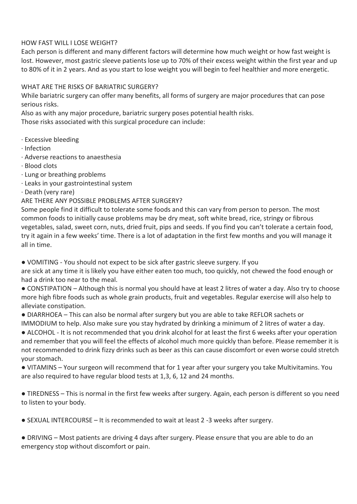## HOW FAST WILL I LOSE WEIGHT?

Each person is different and many different factors will determine how much weight or how fast weight is lost. However, most gastric sleeve patients lose up to 70% of their excess weight within the first year and up to 80% of it in 2 years. And as you start to lose weight you will begin to feel healthier and more energetic.

## WHAT ARE THE RISKS OF BARIATRIC SURGERY?

While bariatric surgery can offer many benefits, all forms of surgery are major procedures that can pose serious risks.

Also as with any major procedure, bariatric surgery poses potential health risks. Those risks associated with this surgical procedure can include:

- · Excessive bleeding
- · Infection
- · Adverse reactions to anaesthesia
- · Blood clots
- · Lung or breathing problems
- · Leaks in your gastrointestinal system
- · Death (very rare)

## ARE THERE ANY POSSIBLE PROBLEMS AFTER SURGERY?

Some people find it difficult to tolerate some foods and this can vary from person to person. The most common foods to initially cause problems may be dry meat, soft white bread, rice, stringy or fibrous vegetables, salad, sweet corn, nuts, dried fruit, pips and seeds. If you find you can't tolerate a certain food, try it again in a few weeks' time. There is a lot of adaptation in the first few months and you will manage it all in time.

● VOMITING - You should not expect to be sick after gastric sleeve surgery. If you

are sick at any time it is likely you have either eaten too much, too quickly, not chewed the food enough or had a drink too near to the meal.

● CONSTIPATION – Although this is normal you should have at least 2 litres of water a day. Also try to choose more high fibre foods such as whole grain products, fruit and vegetables. Regular exercise will also help to alleviate constipation.

● DIARRHOEA – This can also be normal after surgery but you are able to take REFLOR sachets or

IMMODIUM to help. Also make sure you stay hydrated by drinking a minimum of 2 litres of water a day. ● ALCOHOL - It is not recommended that you drink alcohol for at least the first 6 weeks after your operation and remember that you will feel the effects of alcohol much more quickly than before. Please remember it is not recommended to drink fizzy drinks such as beer as this can cause discomfort or even worse could stretch your stomach.

● VITAMINS – Your surgeon will recommend that for 1 year after your surgery you take Multivitamins. You are also required to have regular blood tests at 1,3, 6, 12 and 24 months.

● TIREDNESS – This is normal in the first few weeks after surgery. Again, each person is different so you need to listen to your body.

● SEXUAL INTERCOURSE – It is recommended to wait at least 2 -3 weeks after surgery.

● DRIVING – Most patients are driving 4 days after surgery. Please ensure that you are able to do an emergency stop without discomfort or pain.